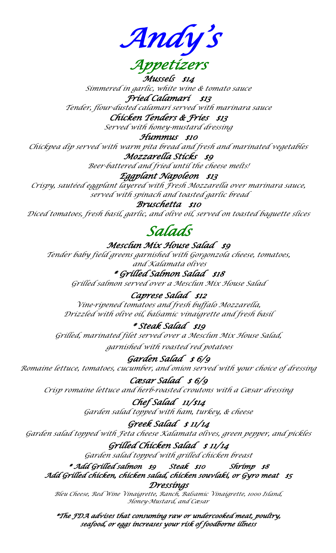*Andy's Appetizers* 

*Mussels \$14 Simmered in garlic, white wine & tomato sauce*

*Fried Calamari \$13 Tender, flour-dusted calamari served with marinara sauce*

*Chicken Tenders & Fries \$13* 

*Served with honey-mustard dressing*

*Hummus \$10* 

*Chickpea dip served with warm pita bread and fresh and marinated vegetables*

*Mozzarella Sticks \$9* 

*Beer-battered and fried until the cheese melts!*

*Eggplant Napoleon \$13* 

*Crispy, sautéed eggplant layered with Fresh Mozzarella over marinara sauce, served with spinach and toasted garlic bread*

*Bruschetta \$10* 

*Diced tomatoes, fresh basil, garlic, and olive oil, served on toasted baguette slices*

# *Salads*

*Mesclun Mix House Salad \$9* 

*Tender baby field greens garnished with Gorgonzola cheese, tomatoes, and Kalamata olives*

*\* Grilled Salmon Salad \$18 Grilled salmon served over a Mesclun Mix House Salad*

*Caprese Salad \$12* 

*Vine-ripened tomatoes and fresh buffalo Mozzarella, Drizzled with olive oil, balsamic vinaigrette and fresh basil*

*\* Steak Salad \$19* 

*Grilled, marinated filet served over a Mesclun Mix House Salad, garnished with roasted red potatoes*

*Garden Salad \$ 6/9 Romaine lettuce, tomatoes, cucumber, and onion served with your choice of dressing*

*Cæsar Salad \$ 6/9 Crisp romaine lettuce and herb-roasted croutons with a Cæsar dressing*

> *Chef Salad 11/\$14 Garden salad topped with ham, turkey, & cheese*

*Greek Salad \$ 11/14 Garden salad topped with Feta cheese Kalamata olives, green pepper, and pickles*

> *Grilled Chicken Salad \$ 11/14 Garden salad topped with grilled chicken breast*

*\* Add Grilled salmon \$9 Steak \$10 Shrimp \$8 Add Grilled chicken, chicken salad, chicken souvlaki, or Gyro meat \$5 Dressings* 

*Bleu Cheese, Red Wine Vinaigrette, Ranch, Balsamic Vinaigrette, 1000 Island, Honey-Mustard, and Cæsar*

*\*The FDA advises that consuming raw or undercooked meat, poultry, seafood, or eggs increases your risk of foodborne illness*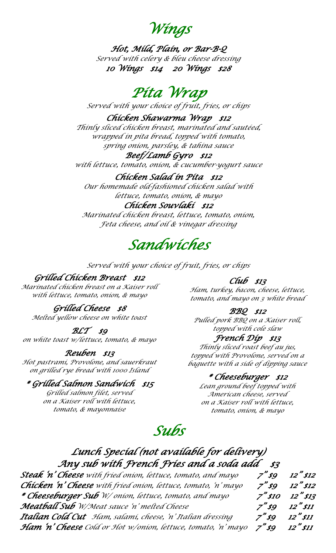*Wings* 

*Hot, Mild, Plain, or Bar-B-Q Served with celery & bleu cheese dressing 10 Wings \$14 20 Wings \$28* 

## *Pita Wrap*

*Served with your choice of fruit, fries, or chips*

### *Chicken Shawarma Wrap \$12*

*Thinly sliced chicken breast, marinated and sautéed, wrapped in pita bread, topped with tomato, spring onion, parsley, & tahina sauce*

#### *Beef/Lamb Gyro \$12*

*with lettuce, tomato, onion, & cucumber-yogurt sauce*

### *Chicken Salad in Pita \$12*

*Our homemade old-fashioned chicken salad with lettuce, tomato, onion, & mayo*

#### *Chicken Souvlaki \$12*

*Marinated chicken breast, lettuce, tomato, onion, Feta cheese, and oil & vinegar dressing*

## *Sandwiches*

*Served with your choice of fruit, fries, or chips*

### *Grilled Chicken Breast \$12*

*Marinated chicken breast on a Kaiser roll with lettuce, tomato, onion, & mayo*

### *Grilled Cheese \$8*

*Melted yellow cheese on white toast*

### *BLT \$9*

*on white toast w/lettuce, tomato, & mayo*

### *Reuben \$13*

*Hot pastrami, Provolone, and sauerkraut on grilled rye bread with 1000 Island*

### *\* Grilled Salmon Sandwich \$15*

*Grilled salmon filet, served on a Kaiser roll with lettuce, tomato, & mayonnaise*

### *Club \$13*

*Ham, turkey, bacon, cheese, lettuce, tomato, and mayo on 3 white bread*

### *BBQ \$12*

*Pulled pork BBQ on a Kaiser roll, topped with cole slaw*

#### *French Dip \$13*

*Thinly sliced roast beef au jus, topped with Provolone, served on a baguette with a side of dipping sauce*

### *\* Cheeseburger \$12*

*Lean ground beef topped with American cheese, served on a Kaiser roll with lettuce, tomato, onion, & mayo*

## *Subs*

### *Lunch Special (not available for delivery) Any sub with French Fries and a soda add \$3*

| <b>Steak 'n' Cheese</b> with fried onion, lettuce, tomato, and mayo         |                  | $7''$ \$9 12"\$12 |
|-----------------------------------------------------------------------------|------------------|-------------------|
| <b>Chicken</b> 'n' Cheese with fried onion, lettuce, tomato, 'n' mayo       |                  | $7''$ \$9 12"\$12 |
| * Cheeseburger Sub W/ onion, lettuce, tomato, and mayo                      |                  | $7"$ \$10 12"\$13 |
| <b>Meatball Sub</b> W/Meat sauce 'n' melted Cheese                          |                  | $7"$ \$9 12" \$11 |
| <b>Italian Cold Cut</b> Ham, salami, cheese, 'n' Italian dressing           | $7"$ \$9 12"\$11 |                   |
| Ham 'n' Cheese Cold or Hot w/onion, lettuce, tomato, 'n' mayo 7"\$9 12"\$11 |                  |                   |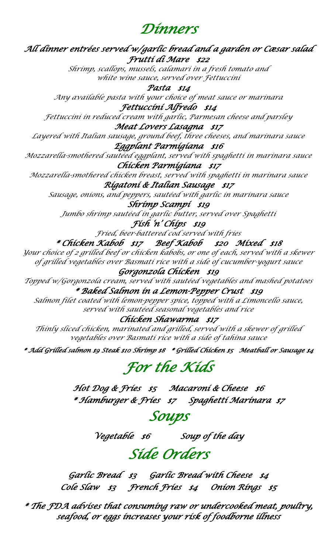### *Dinners*

*All dinner entrées served w/garlic bread and a garden or Cæsar salad Frutti di Mare \$22* 

> *Shrimp, scallops, mussels, calamari in a fresh tomato and white wine sauce, served over Fettuccini*

*Pasta \$14 Any available pasta with your choice of meat sauce or marinara* 

*Fettuccini Alfredo \$14 Fettuccini in reduced cream with garlic, Parmesan cheese and parsley*

### *Meat Lovers Lasagna \$17*

*Layered with Italian sausage, ground beef, three cheeses, and marinara sauce Eggplant Parmigiana \$16* 

*Mozzarella-smothered sautéed eggplant, served with spaghetti in marinara sauce Chicken Parmigiana \$17* 

*Mozzarella-smothered chicken breast, served with spaghetti in marinara sauce*

### *Rigatoni & Italian Sausage \$17*

*Sausage, onions, and peppers, sautéed with garlic in marinara sauce*

*Shrimp Scampi \$19* 

*Jumbo shrimp sautéed in garlic butter, served over Spaghetti*

*Fish 'n' Chips \$19* 

*Fried, beer-battered cod served with fries*

### *\* Chicken Kabob \$17 Beef Kabob \$20 Mixed \$18*

*Your choice of 2 grilled beef or chicken kabobs, or one of each, served with a skewer of grilled vegetables over Basmati rice with a side of cucumber-yogurt sauce*

### *Gorgonzola Chicken \$19*

*Topped w/Gorgonzola cream, served with sautéed vegetables and mashed potatoes \* Baked Salmon in a Lemon-Pepper Crust \$19* 

*Salmon filet coated with lemon-pepper spice, topped with a Limoncello sauce, served with sautéed seasonal vegetables and rice*

### *Chicken Shawarma \$17*

*Thinly sliced chicken, marinated and grilled, served with a skewer of grilled vegetables over Basmati rice with a side of tahina sauce*

*\* Add Grilled salmon \$9 Steak \$10 Shrimp \$8 \* Grilled Chicken \$5 Meatball or Sausage \$4* 

# *For the Kids*

*Hot Dog & Fries \$5 Macaroni & Cheese \$6 \* Hamburger & Fries \$7 Spaghetti Marinara \$7* 

## *Soups*

*Vegetable \$6 Soup of the day* 

## *Side Orders*

*Garlic Bread \$3 Garlic Bread with Cheese \$4 Cole Slaw \$3 French Fries \$4 Onion Rings \$5* 

*\* The FDA advises that consuming raw or undercooked meat, poultry, seafood, or eggs increases your risk of foodborne illness*